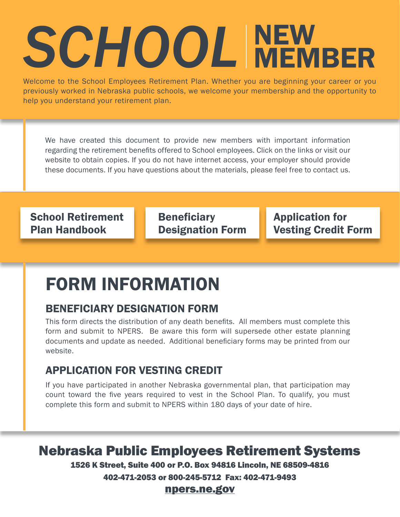# SCHOOL NEW MEMBER

Welcome to the School Employees Retirement Plan. Whether you are beginning your career or you previously worked in Nebraska public schools, we welcome your membership and the opportunity to help you understand your retirement plan.

We have created this document to provide new members with important information regarding the retirement benefits offered to School employees. Click on the links or visit our website to obtain copies. If you do not have internet access, your employer should provide these documents. If you have questions about the materials, please feel free to contact us.

[School Retirement](http://npers.ne.gov/SelfService/public/howto/handbooks/handbookSchool.pdf)  [Plan Handbook](http://npers.ne.gov/SelfService/public/howto/handbooks/handbookSchool.pdf)

**Beneficiary** [Designation Form](http://npers.ne.gov/SelfService/public/forms/membershipForms/beneficiary.pdf) [Application for](https://npers.ne.gov/SelfService/public/forms/membershipForms/VestingCredit.pdf)  [Vesting Credit Form](https://npers.ne.gov/SelfService/public/forms/membershipForms/VestingCredit.pdf)

## FORM INFORMATION

### [BENEFICIARY DESIGNATION FORM](http://npers.ne.gov/SelfService/public/forms/membershipForms/beneficiary.pdf)

This form directs the distribution of any death benefits. All members must complete this form and submit to NPERS. Be aware this form will supersede other estate planning documents and update as needed. Additional beneficiary forms may be printed from our website.

### [APPLICATION FOR VESTING CREDIT](http://npers.ne.gov/SelfService/public/forms/membershipForms/VestingCreditDB.pdf)

If you have participated in another Nebraska governmental plan, that participation may count toward the five years required to vest in the School Plan. To qualify, you must complete this form and submit to NPERS within 180 days of your date of hire.

Nebraska Public Employees Retirement Systems

1526 K Street, Suite 400 or P.O. Box 94816 Lincoln, NE 68509-4816

402-471-2053 or 800-245-5712 Fax: 402-471-9493

#### [npers.ne.gov](http://npers.ne.gov/SelfService/)